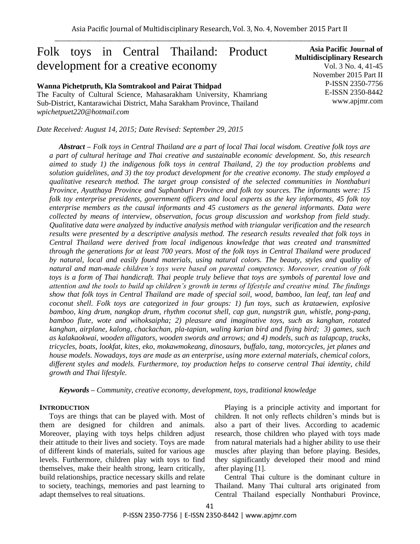# Folk toys in Central Thailand: Product development for a creative economy

### **Wanna Pichetpruth, Kla Somtrakool and Pairat Thidpad**

The Faculty of Cultural Science, Mahasarakham University, Khamriang Sub-District, Kantarawichai District, Maha Sarakham Province, Thailand *wpichetpuet220@hotmail.com*

*Date Received: August 14, 2015; Date Revised: September 29, 2015*

**Asia Pacific Journal of Multidisciplinary Research** Vol. 3 No. 4, 41-45 November 2015 Part II P-ISSN 2350-7756 E-ISSN 2350-8442 www.apjmr.com

*Abstract – Folk toys in Central Thailand are a part of local Thai local wisdom. Creative folk toys are a part of cultural heritage and Thai creative and sustainable economic development. So, this research aimed to study 1) the indigenous folk toys in central Thailand, 2) the toy production problems and solution guidelines, and 3) the toy product development for the creative economy. The study employed a qualitative research method. The target group consisted of the selected communities in Nonthaburi Province, Ayutthaya Province and Suphanburi Province and folk toy sources. The informants were: 15 folk toy enterprise presidents, government officers and local experts as the key informants, 45 folk toy enterprise members as the causal informants and 45 customers as the general informants. Data were collected by means of interview, observation, focus group discussion and workshop from field study. Qualitative data were analyzed by inductive analysis method with triangular verification and the research results were presented by a descriptive analysis method. The research results revealed that folk toys in Central Thailand were derived from local indigenous knowledge that was created and transmitted through the generations for at least 700 years. Most of the folk toys in Central Thailand were produced by natural, local and easily found materials, using natural colors. The beauty, styles and quality of natural and man-made children's toys were based on parental competency. Moreover, creation of folk toys is a form of Thai handicraft. Thai people truly believe that toys are symbols of parental love and attention and the tools to build up children's growth in terms of lifestyle and creative mind. The findings show that folk toys in Central Thailand are made of special soil, wood, bamboo, lan leaf, tan leaf and coconut shell. Folk toys are categorized in four groups: 1) fun toys, such as krataewien, explosive bamboo, king drum, nangkop drum, rhythm coconut shell, cap gun, nungstrik gun, whistle, pong-pang, bamboo flute, wote and wihoksaipha; 2) pleasure and imaginative toys, such as kanghan, rotated kanghan, airplane, kalong, chackachan, pla-tapian, waling karian bird and flying bird; 3) games, such as kalakaokwai, wooden alligators, wooden swords and arrows; and 4) models, such as talapcap, trucks, tricycles, boats, lookfat, kites, eko, mokawmokeang, dinosaurs, buffalo, tang, motorcycles, jet planes and house models. Nowadays, toys are made as an enterprise, using more external materials, chemical colors, different styles and models. Furthermore, toy production helps to conserve central Thai identity, child growth and Thai lifestyle.*

*Keywords – Community, creative economy, development, toys, traditional knowledge*

### **INTRODUCTION**

Toys are things that can be played with. Most of them are designed for children and animals. Moreover, playing with toys helps children adjust their attitude to their lives and society. Toys are made of different kinds of materials, suited for various age levels. Furthermore, children play with toys to find themselves, make their health strong, learn critically, build relationships, practice necessary skills and relate to society, teachings, memories and past learning to adapt themselves to real situations.

Playing is a principle activity and important for children. It not only reflects children's minds but is also a part of their lives. According to academic research, those children who played with toys made from natural materials had a higher ability to use their muscles after playing than before playing. Besides, they significantly developed their mood and mind after playing [1].

Central Thai culture is the dominant culture in Thailand. Many Thai cultural arts originated from Central Thailand especially Nonthaburi Province,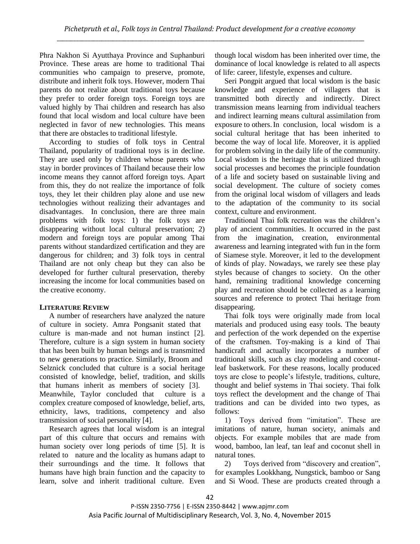Phra Nakhon Si Ayutthaya Province and Suphanburi Province. These areas are home to traditional Thai communities who campaign to preserve, promote, distribute and inherit folk toys. However, modern Thai parents do not realize about traditional toys because they prefer to order foreign toys. Foreign toys are valued highly by Thai children and research has also found that local wisdom and local culture have been neglected in favor of new technologies. This means that there are obstacles to traditional lifestyle.

According to studies of folk toys in Central Thailand, popularity of traditional toys is in decline. They are used only by children whose parents who stay in border provinces of Thailand because their low income means they cannot afford foreign toys. Apart from this, they do not realize the importance of folk toys, they let their children play alone and use new technologies without realizing their advantages and disadvantages. In conclusion, there are three main problems with folk toys: 1) the folk toys are disappearing without local cultural preservation; 2) modern and foreign toys are popular among Thai parents without standardized certification and they are dangerous for children; and 3) folk toys in central Thailand are not only cheap but they can also be developed for further cultural preservation, thereby increasing the income for local communities based on the creative economy.

## **LITERATURE REVIEW**

A number of researchers have analyzed the nature of culture in society. Amra Pongsanit stated that culture is man-made and not human instinct [2]. Therefore, culture is a sign system in human society that has been built by human beings and is transmitted to new generations to practice. Similarly, Broom and Selznick concluded that culture is a social heritage consisted of knowledge, belief, tradition, and skills that humans inherit as members of society [3]. Meanwhile, Taylor concluded that culture is a complex creature composed of knowledge, belief, arts, ethnicity, laws, traditions, competency and also transmission of social personality [4].

Research agrees that local wisdom is an integral part of this culture that occurs and remains with human society over long periods of time [5]. It is related to nature and the locality as humans adapt to their surroundings and the time. It follows that humans have high brain function and the capacity to learn, solve and inherit traditional culture. Even though local wisdom has been inherited over time, the dominance of local knowledge is related to all aspects of life: career, lifestyle, expenses and culture.

Seri Pongpit argued that local wisdom is the basic knowledge and experience of villagers that is transmitted both directly and indirectly. Direct transmission means learning from individual teachers and indirect learning means cultural assimilation from exposure to others.In conclusion, local wisdom is a social cultural heritage that has been inherited to become the way of local life. Moreover, it is applied for problem solving in the daily life of the community. Local wisdom is the heritage that is utilized through social processes and becomes the principle foundation of a life and society based on sustainable living and social development. The culture of society comes from the original local wisdom of villagers and leads to the adaptation of the community to its social context, culture and environment.

Traditional Thai folk recreation was the children's play of ancient communities. It occurred in the past from the imagination, creation, environmental awareness and learning integrated with fun in the form of Siamese style. Moreover, it led to the development of kinds of play. Nowadays, we rarely see these play styles because of changes to society. On the other hand, remaining traditional knowledge concerning play and recreation should be collected as a learning sources and reference to protect Thai heritage from disappearing.

Thai folk toys were originally made from local materials and produced using easy tools. The beauty and perfection of the work depended on the expertise of the craftsmen. Toy-making is a kind of Thai handicraft and actually incorporates a number of traditional skills, such as clay modeling and coconutleaf basketwork. For these reasons, locally produced toys are close to people's lifestyle, traditions, culture, thought and belief systems in Thai society. Thai folk toys reflect the development and the change of Thai traditions and can be divided into two types, as follows:

1) Toys derived from "imitation". These are imitations of nature, human society, animals and objects. For example mobiles that are made from wood, bamboo, lan leaf, tan leaf and coconut shell in natural tones.

2) Toys derived from "discovery and creation", for examples Lookkhang, Nungstick, bamboo or Sang and Si Wood. These are products created through a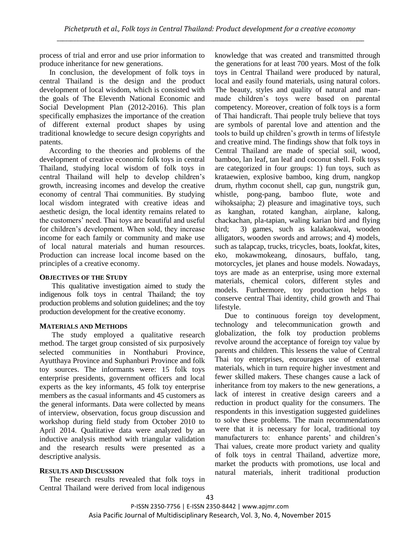process of trial and error and use prior information to produce inheritance for new generations.

In conclusion, the development of folk toys in central Thailand is the design and the product development of local wisdom, which is consisted with the goals of The Eleventh National Economic and Social Development Plan (2012-2016). This plan specifically emphasizes the importance of the creation of different external product shapes by using traditional knowledge to secure design copyrights and patents.

According to the theories and problems of the development of creative economic folk toys in central Thailand, studying local wisdom of folk toys in central Thailand will help to develop children's growth, increasing incomes and develop the creative economy of central Thai communities. By studying local wisdom integrated with creative ideas and aesthetic design, the local identity remains related to the customers' need. Thai toys are beautiful and useful for children's development. When sold, they increase income for each family or community and make use of local natural materials and human resources. Production can increase local income based on the principles of a creative economy.

### **OBJECTIVES OF THE STUDY**

This qualitative investigation aimed to study the indigenous folk toys in central Thailand; the toy production problems and solution guidelines; and the toy production development for the creative economy.

## **MATERIALS AND METHODS**

The study employed a qualitative research method. The target group consisted of six purposively selected communities in Nonthaburi Province, Ayutthaya Province and Suphanburi Province and folk toy sources. The informants were: 15 folk toys enterprise presidents, government officers and local experts as the key informants, 45 folk toy enterprise members as the casual informants and 45 customers as the general informants. Data were collected by means of interview, observation, focus group discussion and workshop during field study from October 2010 to April 2014. Qualitative data were analyzed by an inductive analysis method with triangular validation and the research results were presented as a descriptive analysis.

## **RESULTS AND DISCUSSION**

The research results revealed that folk toys in Central Thailand were derived from local indigenous knowledge that was created and transmitted through the generations for at least 700 years. Most of the folk toys in Central Thailand were produced by natural, local and easily found materials, using natural colors. The beauty, styles and quality of natural and manmade children's toys were based on parental competency. Moreover, creation of folk toys is a form of Thai handicraft. Thai people truly believe that toys are symbols of parental love and attention and the tools to build up children's growth in terms of lifestyle and creative mind. The findings show that folk toys in Central Thailand are made of special soil, wood, bamboo, lan leaf, tan leaf and coconut shell. Folk toys are categorized in four groups: 1) fun toys, such as krataewien, explosive bamboo, king drum, nangkop drum, rhythm coconut shell, cap gun, nungstrik gun, whistle, pong-pang, bamboo flute, wote and wihoksaipha; 2) pleasure and imaginative toys, such as kanghan, rotated kanghan, airplane, kalong, chackachan, pla-tapian, waling karian bird and flying bird; 3) games, such as kalakaokwai, wooden alligators, wooden swords and arrows; and 4) models, such as talapcap, trucks, tricycles, boats, lookfat, kites, eko, mokawmokeang, dinosaurs, buffalo, tang, motorcycles, jet planes and house models. Nowadays, toys are made as an enterprise, using more external materials, chemical colors, different styles and models. Furthermore, toy production helps to conserve central Thai identity, child growth and Thai lifestyle.

Due to continuous foreign toy development, technology and telecommunication growth and globalization, the folk toy production problems revolve around the acceptance of foreign toy value by parents and children. This lessens the value of Central Thai toy enterprises, encourages use of external materials, which in turn require higher investment and fewer skilled makers. These changes cause a lack of inheritance from toy makers to the new generations, a lack of interest in creative design careers and a reduction in product quality for the consumers. The respondents in this investigation suggested guidelines to solve these problems. The main recommendations were that it is necessary for local, traditional toy manufacturers to: enhance parents' and children's Thai values, create more product variety and quality of folk toys in central Thailand, advertize more, market the products with promotions, use local and natural materials, inherit traditional production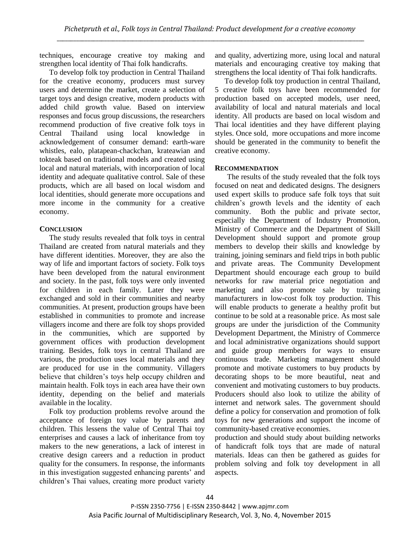techniques, encourage creative toy making and strengthen local identity of Thai folk handicrafts.

To develop folk toy production in Central Thailand for the creative economy, producers must survey users and determine the market, create a selection of target toys and design creative, modern products with added child growth value. Based on interview responses and focus group discussions, the researchers recommend production of five creative folk toys in Central Thailand using local knowledge in acknowledgement of consumer demand: earth-ware whistles, ealo, platapean-chackchan, krateawian and tokteak based on traditional models and created using local and natural materials, with incorporation of local identity and adequate qualitative control. Sale of these products, which are all based on local wisdom and local identities, should generate more occupations and more income in the community for a creative economy.

## **CONCLUSION**

The study results revealed that folk toys in central Thailand are created from natural materials and they have different identities. Moreover, they are also the way of life and important factors of society. Folk toys have been developed from the natural environment and society. In the past, folk toys were only invented for children in each family. Later they were exchanged and sold in their communities and nearby communities. At present, production groups have been established in communities to promote and increase villagers income and there are folk toy shops provided in the communities, which are supported by government offices with production development training. Besides, folk toys in central Thailand are various, the production uses local materials and they are produced for use in the community. Villagers believe that children's toys help occupy children and maintain health. Folk toys in each area have their own identity, depending on the belief and materials available in the locality.

Folk toy production problems revolve around the acceptance of foreign toy value by parents and children. This lessens the value of Central Thai toy enterprises and causes a lack of inheritance from toy makers to the new generations, a lack of interest in creative design careers and a reduction in product quality for the consumers. In response, the informants in this investigation suggested enhancing parents' and children's Thai values, creating more product variety and quality, advertizing more, using local and natural materials and encouraging creative toy making that strengthens the local identity of Thai folk handicrafts.

To develop folk toy production in central Thailand, 5 creative folk toys have been recommended for production based on accepted models, user need, availability of local and natural materials and local identity. All products are based on local wisdom and Thai local identities and they have different playing styles. Once sold, more occupations and more income should be generated in the community to benefit the creative economy.

## **RECOMMENDATION**

The results of the study revealed that the folk toys focused on neat and dedicated designs. The designers used expert skills to produce safe folk toys that suit children's growth levels and the identity of each community. Both the public and private sector, especially the Department of Industry Promotion, Ministry of Commerce and the Department of Skill Development should support and promote group members to develop their skills and knowledge by training, joining seminars and field trips in both public and private areas. The Community Development Department should encourage each group to build networks for raw material price negotiation and marketing and also promote sale by training manufacturers in low-cost folk toy production. This will enable products to generate a healthy profit but continue to be sold at a reasonable price. As most sale groups are under the jurisdiction of the Community Development Department, the Ministry of Commerce and local administrative organizations should support and guide group members for ways to ensure continuous trade. Marketing management should promote and motivate customers to buy products by decorating shops to be more beautiful, neat and convenient and motivating customers to buy products. Producers should also look to utilize the ability of internet and network sales. The government should define a policy for conservation and promotion of folk toys for new generations and support the income of community-based creative economies.

production and should study about building networks of handicraft folk toys that are made of natural materials. Ideas can then be gathered as guides for problem solving and folk toy development in all aspects.